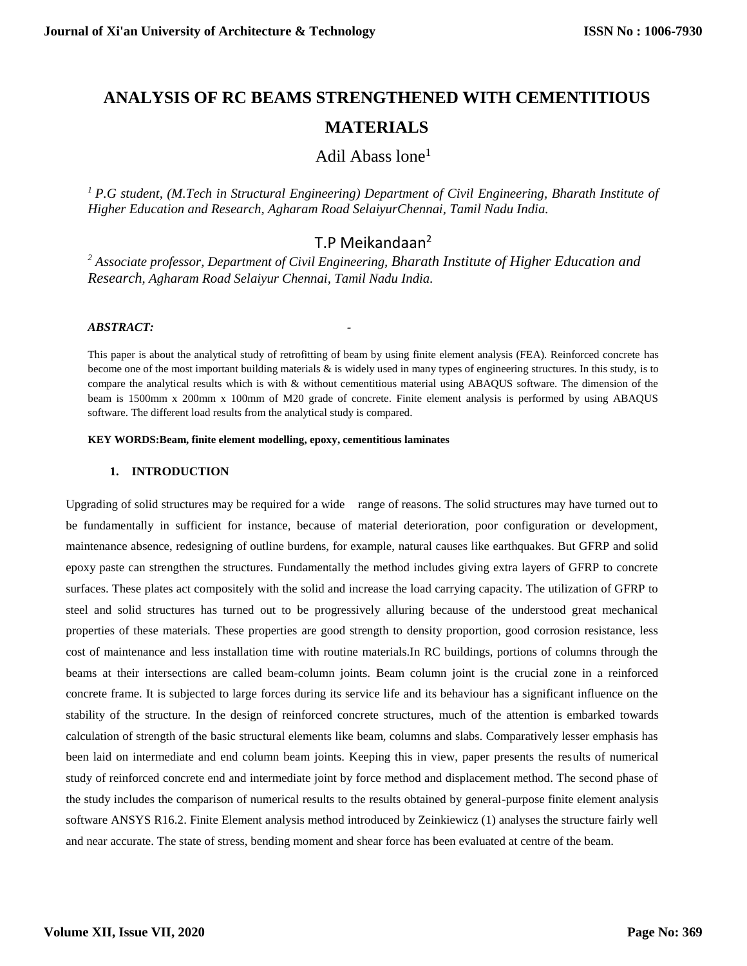# **ANALYSIS OF RC BEAMS STRENGTHENED WITH CEMENTITIOUS MATERIALS**

## Adil Abass  $l$ one<sup>1</sup>

*<sup>1</sup>P.G student, (M.Tech in Structural Engineering) Department of Civil Engineering, Bharath Institute of Higher Education and Research, Agharam Road SelaiyurChennai, Tamil Nadu India.*

## T.P Meikandaan<sup>2</sup>

*<sup>2</sup> Associate professor, Department of Civil Engineering, Bharath Institute of Higher Education and Research, Agharam Road Selaiyur Chennai, Tamil Nadu India.*

## *ABSTRACT: -*

This paper is about the analytical study of retrofitting of beam by using finite element analysis (FEA). Reinforced concrete has become one of the most important building materials & is widely used in many types of engineering structures. In this study, is to compare the analytical results which is with & without cementitious material using ABAQUS software. The dimension of the beam is 1500mm x 200mm x 100mm of M20 grade of concrete. Finite element analysis is performed by using ABAQUS software. The different load results from the analytical study is compared.

#### **KEY WORDS:Beam, finite element modelling, epoxy, cementitious laminates**

## **1. INTRODUCTION**

Upgrading of solid structures may be required for a wide range of reasons. The solid structures may have turned out to be fundamentally in sufficient for instance, because of material deterioration, poor configuration or development, maintenance absence, redesigning of outline burdens, for example, natural causes like earthquakes. But GFRP and solid epoxy paste can strengthen the structures. Fundamentally the method includes giving extra layers of GFRP to concrete surfaces. These plates act compositely with the solid and increase the load carrying capacity. The utilization of GFRP to steel and solid structures has turned out to be progressively alluring because of the understood great mechanical properties of these materials. These properties are good strength to density proportion, good corrosion resistance, less cost of maintenance and less installation time with routine materials.In RC buildings, portions of columns through the beams at their intersections are called beam-column joints. Beam column joint is the crucial zone in a reinforced concrete frame. It is subjected to large forces during its service life and its behaviour has a significant influence on the stability of the structure. In the design of reinforced concrete structures, much of the attention is embarked towards calculation of strength of the basic structural elements like beam, columns and slabs. Comparatively lesser emphasis has been laid on intermediate and end column beam joints. Keeping this in view, paper presents the results of numerical study of reinforced concrete end and intermediate joint by force method and displacement method. The second phase of the study includes the comparison of numerical results to the results obtained by general-purpose finite element analysis software ANSYS R16.2. Finite Element analysis method introduced by Zeinkiewicz (1) analyses the structure fairly well and near accurate. The state of stress, bending moment and shear force has been evaluated at centre of the beam.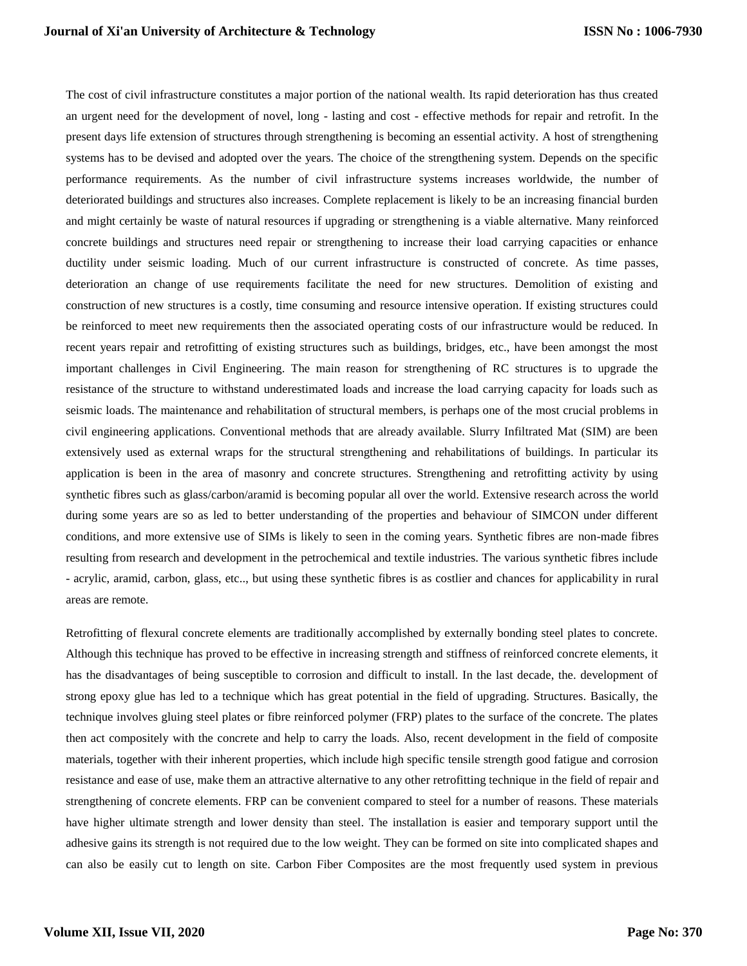The cost of civil infrastructure constitutes a major portion of the national wealth. Its rapid deterioration has thus created an urgent need for the development of novel, long - lasting and cost - effective methods for repair and retrofit. In the present days life extension of structures through strengthening is becoming an essential activity. A host of strengthening systems has to be devised and adopted over the years. The choice of the strengthening system. Depends on the specific performance requirements. As the number of civil infrastructure systems increases worldwide, the number of deteriorated buildings and structures also increases. Complete replacement is likely to be an increasing financial burden and might certainly be waste of natural resources if upgrading or strengthening is a viable alternative. Many reinforced concrete buildings and structures need repair or strengthening to increase their load carrying capacities or enhance ductility under seismic loading. Much of our current infrastructure is constructed of concrete. As time passes, deterioration an change of use requirements facilitate the need for new structures. Demolition of existing and construction of new structures is a costly, time consuming and resource intensive operation. If existing structures could be reinforced to meet new requirements then the associated operating costs of our infrastructure would be reduced. In recent years repair and retrofitting of existing structures such as buildings, bridges, etc., have been amongst the most important challenges in Civil Engineering. The main reason for strengthening of RC structures is to upgrade the resistance of the structure to withstand underestimated loads and increase the load carrying capacity for loads such as seismic loads. The maintenance and rehabilitation of structural members, is perhaps one of the most crucial problems in civil engineering applications. Conventional methods that are already available. Slurry Infiltrated Mat (SIM) are been extensively used as external wraps for the structural strengthening and rehabilitations of buildings. In particular its application is been in the area of masonry and concrete structures. Strengthening and retrofitting activity by using synthetic fibres such as glass/carbon/aramid is becoming popular all over the world. Extensive research across the world during some years are so as led to better understanding of the properties and behaviour of SIMCON under different conditions, and more extensive use of SIMs is likely to seen in the coming years. Synthetic fibres are non-made fibres resulting from research and development in the petrochemical and textile industries. The various synthetic fibres include - acrylic, aramid, carbon, glass, etc.., but using these synthetic fibres is as costlier and chances for applicability in rural areas are remote.

Retrofitting of flexural concrete elements are traditionally accomplished by externally bonding steel plates to concrete. Although this technique has proved to be effective in increasing strength and stiffness of reinforced concrete elements, it has the disadvantages of being susceptible to corrosion and difficult to install. In the last decade, the. development of strong epoxy glue has led to a technique which has great potential in the field of upgrading. Structures. Basically, the technique involves gluing steel plates or fibre reinforced polymer (FRP) plates to the surface of the concrete. The plates then act compositely with the concrete and help to carry the loads. Also, recent development in the field of composite materials, together with their inherent properties, which include high specific tensile strength good fatigue and corrosion resistance and ease of use, make them an attractive alternative to any other retrofitting technique in the field of repair and strengthening of concrete elements. FRP can be convenient compared to steel for a number of reasons. These materials have higher ultimate strength and lower density than steel. The installation is easier and temporary support until the adhesive gains its strength is not required due to the low weight. They can be formed on site into complicated shapes and can also be easily cut to length on site. Carbon Fiber Composites are the most frequently used system in previous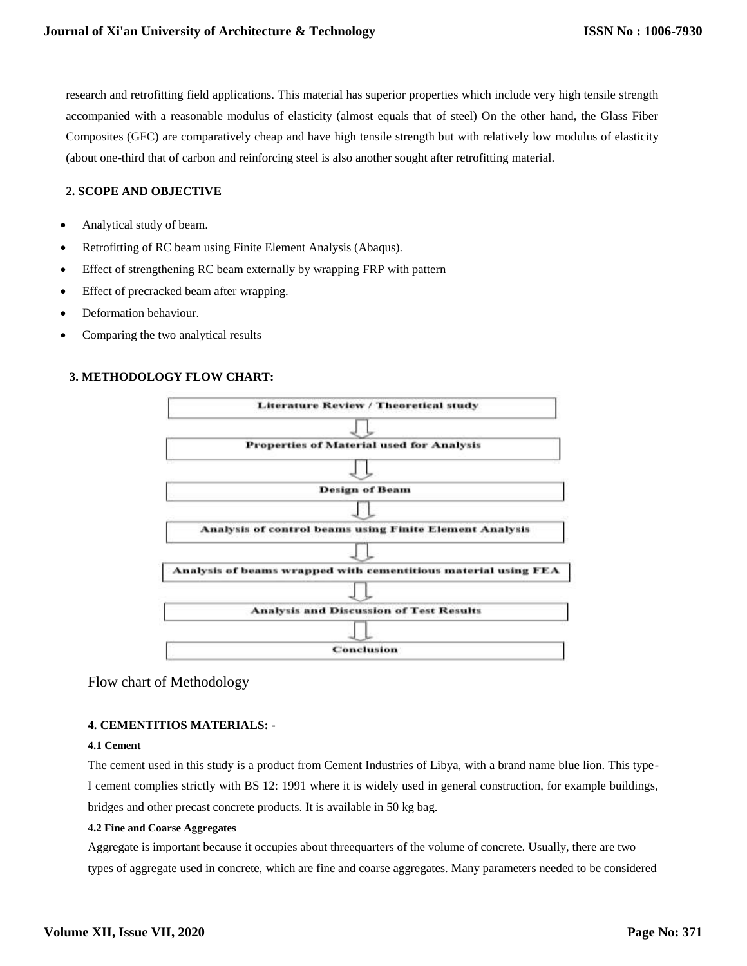research and retrofitting field applications. This material has superior properties which include very high tensile strength accompanied with a reasonable modulus of elasticity (almost equals that of steel) On the other hand, the Glass Fiber Composites (GFC) are comparatively cheap and have high tensile strength but with relatively low modulus of elasticity (about one-third that of carbon and reinforcing steel is also another sought after retrofitting material.

## **2. SCOPE AND OBJECTIVE**

- Analytical study of beam.
- Retrofitting of RC beam using Finite Element Analysis (Abaqus).
- Effect of strengthening RC beam externally by wrapping FRP with pattern
- Effect of precracked beam after wrapping.
- Deformation behaviour.
- Comparing the two analytical results

## **3. METHODOLOGY FLOW CHART:**



## Flow chart of Methodology

## **4. CEMENTITIOS MATERIALS: -**

#### **4.1 Cement**

The cement used in this study is a product from Cement Industries of Libya, with a brand name blue lion. This type-I cement complies strictly with BS 12: 1991 where it is widely used in general construction, for example buildings, bridges and other precast concrete products. It is available in 50 kg bag.

#### **4.2 Fine and Coarse Aggregates**

Aggregate is important because it occupies about threequarters of the volume of concrete. Usually, there are two types of aggregate used in concrete, which are fine and coarse aggregates. Many parameters needed to be considered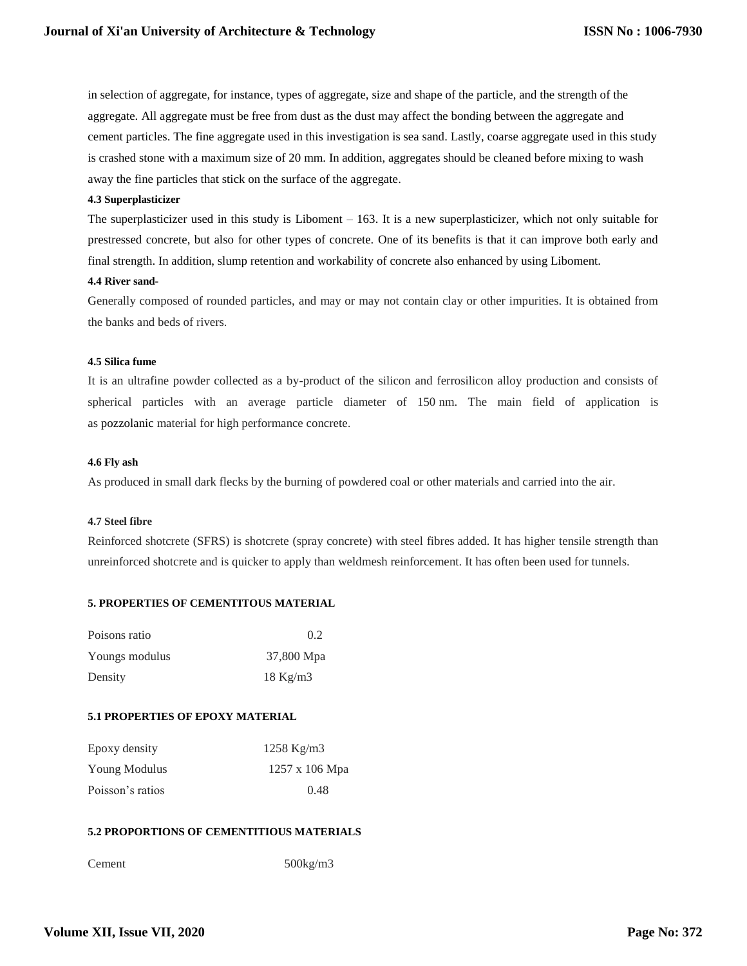in selection of aggregate, for instance, types of aggregate, size and shape of the particle, and the strength of the aggregate. All aggregate must be free from dust as the dust may affect the bonding between the aggregate and cement particles. The fine aggregate used in this investigation is sea sand. Lastly, coarse aggregate used in this study is crashed stone with a maximum size of 20 mm. In addition, aggregates should be cleaned before mixing to wash away the fine particles that stick on the surface of the aggregate.

#### **4.3 Superplasticizer**

The superplasticizer used in this study is Liboment – 163. It is a new superplasticizer, which not only suitable for prestressed concrete, but also for other types of concrete. One of its benefits is that it can improve both early and final strength. In addition, slump retention and workability of concrete also enhanced by using Liboment.

#### **4.4 River sand**-

Generally composed of rounded particles, and may or may not contain clay or other impurities. It is obtained from the banks and beds of rivers.

## **4.5 Silica fume**

It is an ultrafine powder collected as a by-product of the silicon and ferrosilicon alloy production and consists of spherical particles with an average particle diameter of 150 nm. The main field of application is as pozzolanic material for high performance concrete.

#### **4.6 Fly ash**

As produced in small dark flecks by the burning of powdered coal or other materials and carried into the air.

#### **4.7 Steel fibre**

Reinforced shotcrete (SFRS) is shotcrete (spray concrete) with steel fibres added. It has higher tensile strength than unreinforced shotcrete and is quicker to apply than weldmesh reinforcement. It has often been used for tunnels.

## **5. PROPERTIES OF CEMENTITOUS MATERIAL**

| Poisons ratio  | 0.2        |
|----------------|------------|
| Youngs modulus | 37,800 Mpa |
| Density        | $18$ Kg/m3 |

#### **5.1 PROPERTIES OF EPOXY MATERIAL**

| Epoxy density    | $1258 \text{ Kg/m}$ 3 |
|------------------|-----------------------|
| Young Modulus    | $1257 \times 106$ Mpa |
| Poisson's ratios | 0.48                  |

## **5.2 PROPORTIONS OF CEMENTITIOUS MATERIALS**

Cement 500kg/m3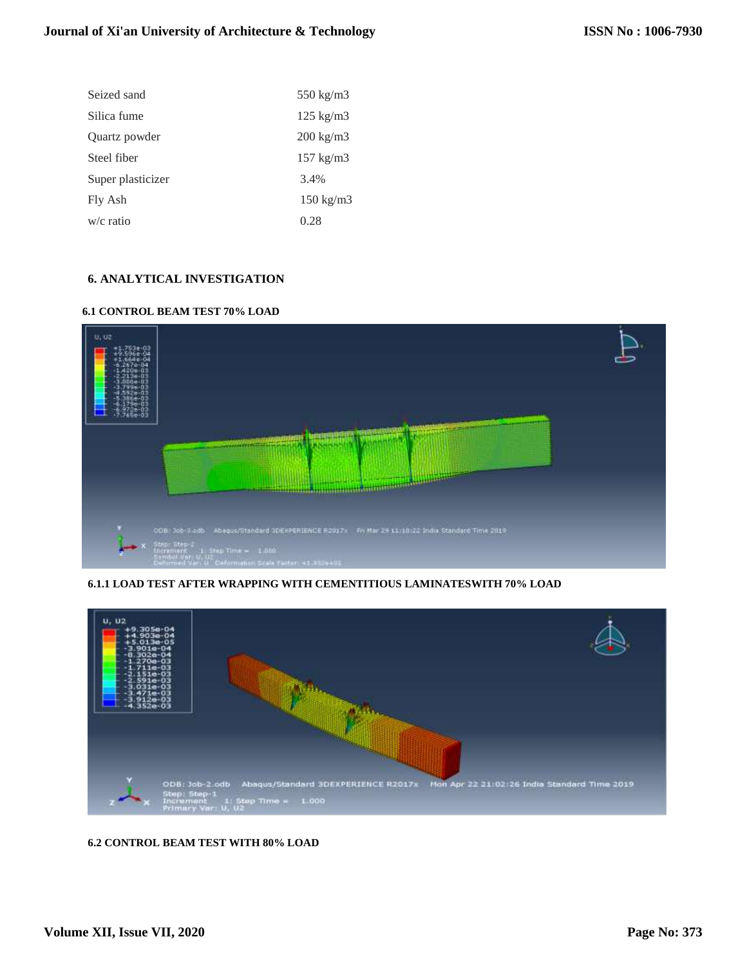| Seized sand       | $550 \text{ kg/m}$ 3 |
|-------------------|----------------------|
| Silica fume       | $125 \text{ kg/m}$   |
| Quartz powder     | $200 \text{ kg/m}$   |
| Steel fiber       | $157 \text{ kg/m}$ 3 |
| Super plasticizer | 3.4%                 |
| Fly Ash           | $150 \text{ kg/m}$ 3 |
| $w/c$ ratio       | 0.28                 |

## **6. ANALYTICAL INVESTIGATION**

## **6.1 CONTROL BEAM TEST 70% LOAD**



**6.1.1 LOAD TEST AFTER WRAPPING WITH CEMENTITIOUS LAMINATESWITH 70% LOAD**



## **6.2 CONTROL BEAM TEST WITH 80% LOAD**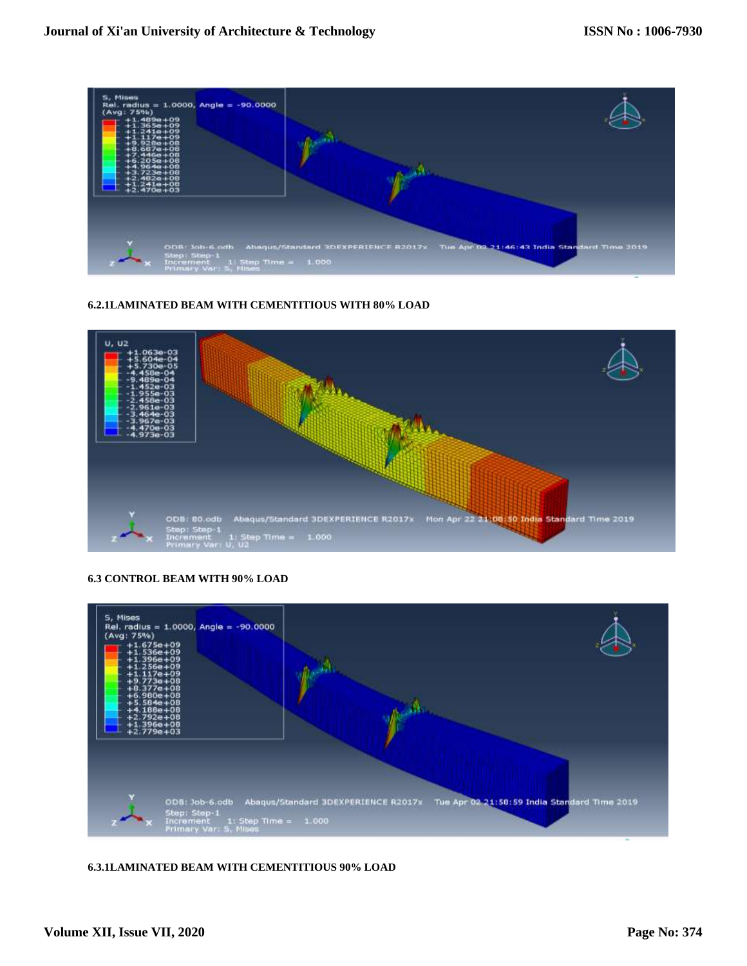

## **6.2.1LAMINATED BEAM WITH CEMENTITIOUS WITH 80% LOAD**



## **6.3 CONTROL BEAM WITH 90% LOAD**



## **6.3.1LAMINATED BEAM WITH CEMENTITIOUS 90% LOAD**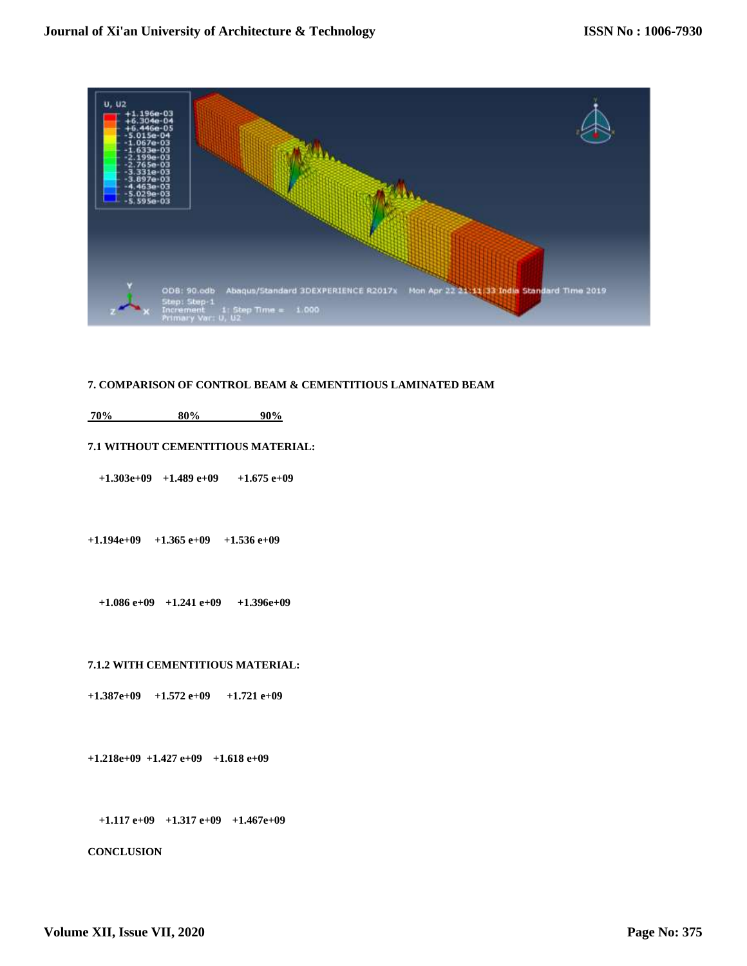

#### **7. COMPARISON OF CONTROL BEAM & CEMENTITIOUS LAMINATED BEAM**

## **70% 80% 90%**

#### **7.1 WITHOUT CEMENTITIOUS MATERIAL:**

 **+1.303e+09 +1.489 e+09 +1.675 e+09** 

**+1.194e+09 +1.365 e+09 +1.536 e+09** 

 **+1.086 e+09 +1.241 e+09 +1.396e+09** 

#### **7.1.2 WITH CEMENTITIOUS MATERIAL:**

**+1.387e+09 +1.572 e+09 +1.721 e+09** 

**+1.218e+09 +1.427 e+09 +1.618 e+09**

 **+1.117 e+09 +1.317 e+09 +1.467e+09** 

**CONCLUSION**